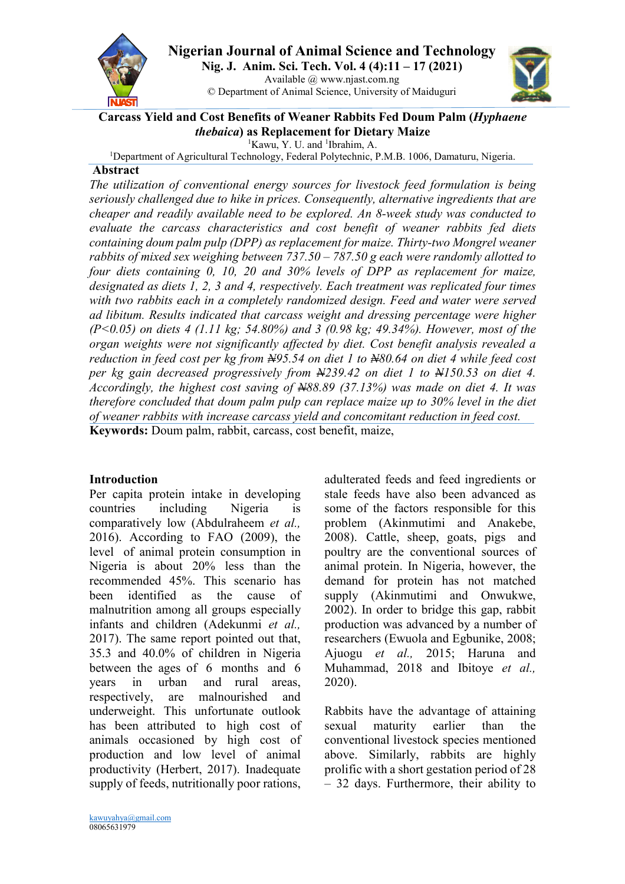

**Nigerian Journal of Animal Science and Technology Nig. J. Anim. Sci. Tech. Vol. 4 (4):11 – 17 (2021)** Available @ www.njast.com.ng

© Department of Animal Science, University of Maiduguri



#### **Carcass Yield and Cost Benefits of Weaner Rabbits Fed Doum Palm (***Hyphaene thebaica***) as Replacement for Dietary Maize**

<sup>1</sup>Kawu, Y. U. and <sup>1</sup>Ibrahim, A.

<sup>1</sup>Department of Agricultural Technology, Federal Polytechnic, P.M.B. 1006, Damaturu, Nigeria.

#### **Abstract**

*The utilization of conventional energy sources for livestock feed formulation is being seriously challenged due to hike in prices. Consequently, alternative ingredients that are cheaper and readily available need to be explored. An 8-week study was conducted to evaluate the carcass characteristics and cost benefit of weaner rabbits fed diets containing doum palm pulp (DPP) as replacement for maize. Thirty-two Mongrel weaner rabbits of mixed sex weighing between 737.50 – 787.50 g each were randomly allotted to four diets containing 0, 10, 20 and 30% levels of DPP as replacement for maize, designated as diets 1, 2, 3 and 4, respectively. Each treatment was replicated four times with two rabbits each in a completely randomized design. Feed and water were served ad libitum. Results indicated that carcass weight and dressing percentage were higher (P<0.05) on diets 4 (1.11 kg; 54.80%) and 3 (0.98 kg; 49.34%). However, most of the organ weights were not significantly affected by diet. Cost benefit analysis revealed a reduction in feed cost per kg from N95.54 on diet 1 to N80.64 on diet 4 while feed cost per kg gain decreased progressively from N239.42 on diet 1 to N150.53 on diet 4. Accordingly, the highest cost saving of N88.89 (37.13%) was made on diet 4. It was therefore concluded that doum palm pulp can replace maize up to 30% level in the diet of weaner rabbits with increase carcass yield and concomitant reduction in feed cost.*  **Keywords:** Doum palm, rabbit, carcass, cost benefit, maize,

# **Introduction**

Per capita protein intake in developing countries including Nigeria is comparatively low (Abdulraheem *et al.,*  2016). According to FAO (2009), the level of animal protein consumption in Nigeria is about 20% less than the recommended 45%. This scenario has been identified as the cause of malnutrition among all groups especially infants and children (Adekunmi *et al.,*  2017). The same report pointed out that, 35.3 and 40.0% of children in Nigeria between the ages of 6 months and 6 years in urban and rural areas, respectively, are malnourished and underweight. This unfortunate outlook has been attributed to high cost of animals occasioned by high cost of production and low level of animal productivity (Herbert, 2017). Inadequate supply of feeds, nutritionally poor rations,

adulterated feeds and feed ingredients or stale feeds have also been advanced as some of the factors responsible for this problem (Akinmutimi and Anakebe, 2008). Cattle, sheep, goats, pigs and poultry are the conventional sources of animal protein. In Nigeria, however, the demand for protein has not matched supply (Akinmutimi and Onwukwe, 2002). In order to bridge this gap, rabbit production was advanced by a number of researchers (Ewuola and Egbunike, 2008; Ajuogu *et al.,* 2015; Haruna and Muhammad, 2018 and Ibitoye *et al.,*  2020).

Rabbits have the advantage of attaining sexual maturity earlier than the conventional livestock species mentioned above. Similarly, rabbits are highly prolific with a short gestation period of 28 – 32 days. Furthermore, their ability to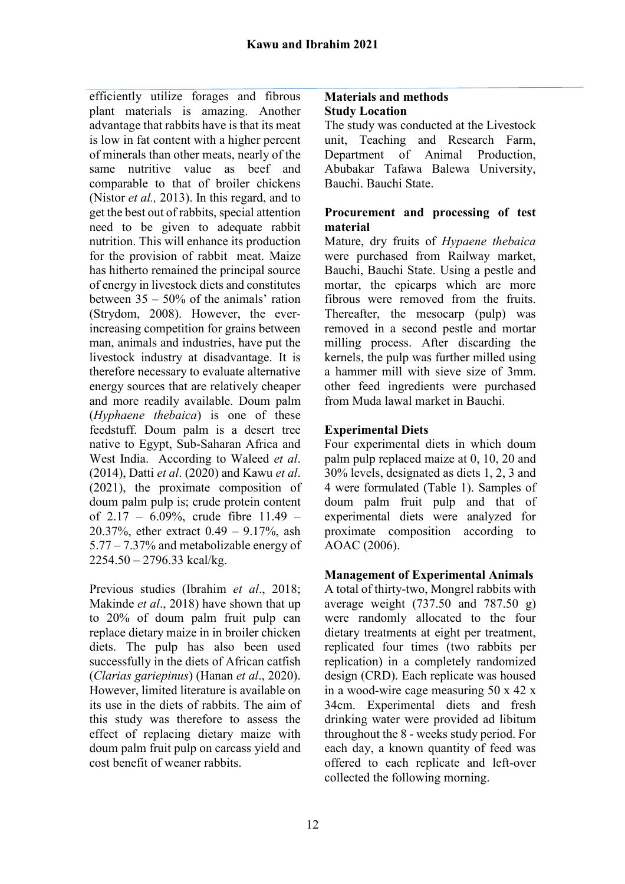efficiently utilize forages and fibrous plant materials is amazing. Another advantage that rabbits have is that its meat is low in fat content with a higher percent of minerals than other meats, nearly of the same nutritive value as beef and comparable to that of broiler chickens (Nistor *et al.,* 2013). In this regard, and to get the best out of rabbits, special attention need to be given to adequate rabbit nutrition. This will enhance its production for the provision of rabbit meat. Maize has hitherto remained the principal source of energy in livestock diets and constitutes between 35 – 50% of the animals' ration (Strydom, 2008). However, the everincreasing competition for grains between man, animals and industries, have put the livestock industry at disadvantage. It is therefore necessary to evaluate alternative energy sources that are relatively cheaper and more readily available. Doum palm (*Hyphaene thebaica*) is one of these feedstuff. Doum palm is a desert tree native to Egypt, Sub-Saharan Africa and West India. According to Waleed *et al*. (2014), Datti *et al*. (2020) and Kawu *et al*. (2021), the proximate composition of doum palm pulp is; crude protein content of  $2.17 - 6.09\%$ , crude fibre  $11.49 -$ 20.37%, ether extract 0.49 – 9.17%, ash 5.77 – 7.37% and metabolizable energy of 2254.50 – 2796.33 kcal/kg.

Previous studies (Ibrahim *et al*., 2018; Makinde *et al*., 2018) have shown that up to 20% of doum palm fruit pulp can replace dietary maize in in broiler chicken diets. The pulp has also been used successfully in the diets of African catfish (*Clarias gariepinus*) (Hanan *et al*., 2020). However, limited literature is available on its use in the diets of rabbits. The aim of this study was therefore to assess the effect of replacing dietary maize with doum palm fruit pulp on carcass yield and cost benefit of weaner rabbits.

### **Materials and methods Study Location**

The study was conducted at the Livestock unit, Teaching and Research Farm, Department of Animal Production, Abubakar Tafawa Balewa University, Bauchi. Bauchi State.

### **Procurement and processing of test material**

Mature, dry fruits of *Hypaene thebaica*  were purchased from Railway market, Bauchi, Bauchi State. Using a pestle and mortar, the epicarps which are more fibrous were removed from the fruits. Thereafter, the mesocarp (pulp) was removed in a second pestle and mortar milling process. After discarding the kernels, the pulp was further milled using a hammer mill with sieve size of 3mm. other feed ingredients were purchased from Muda lawal market in Bauchi.

# **Experimental Diets**

Four experimental diets in which doum palm pulp replaced maize at 0, 10, 20 and 30% levels, designated as diets 1, 2, 3 and 4 were formulated (Table 1). Samples of doum palm fruit pulp and that of experimental diets were analyzed for proximate composition according to AOAC (2006).

# **Management of Experimental Animals**

A total of thirty-two, Mongrel rabbits with average weight  $(737.50 \text{ and } 787.50 \text{ g})$ were randomly allocated to the four dietary treatments at eight per treatment, replicated four times (two rabbits per replication) in a completely randomized design (CRD). Each replicate was housed in a wood-wire cage measuring 50 x 42 x 34cm. Experimental diets and fresh drinking water were provided ad libitum throughout the 8 - weeks study period. For each day, a known quantity of feed was offered to each replicate and left-over collected the following morning.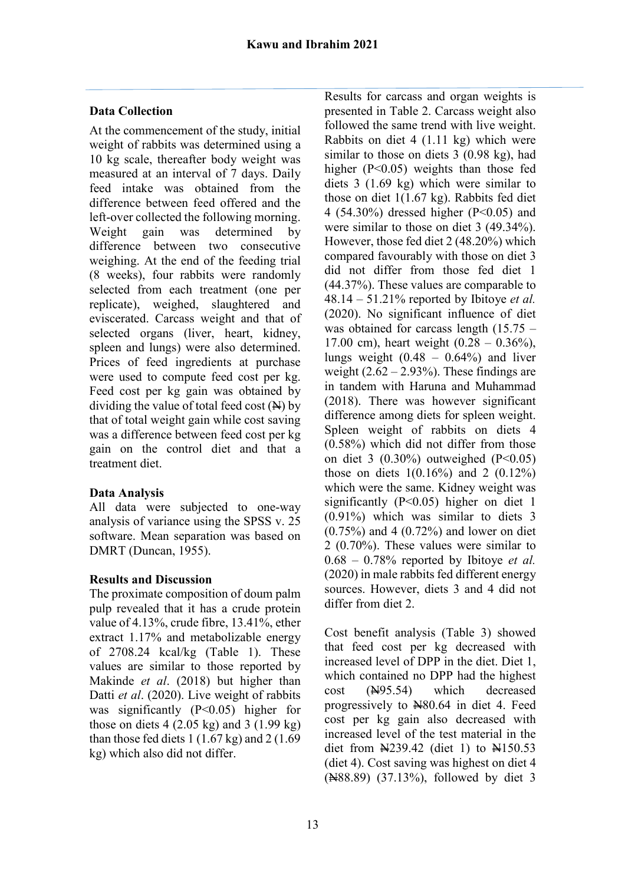# **Data Collection**

At the commencement of the study, initial weight of rabbits was determined using a 10 kg scale, thereafter body weight was measured at an interval of 7 days. Daily feed intake was obtained from the difference between feed offered and the left-over collected the following morning. Weight gain was determined by difference between two consecutive weighing. At the end of the feeding trial (8 weeks), four rabbits were randomly selected from each treatment (one per replicate), weighed, slaughtered and eviscerated. Carcass weight and that of selected organs (liver, heart, kidney, spleen and lungs) were also determined. Prices of feed ingredients at purchase were used to compute feed cost per kg. Feed cost per kg gain was obtained by dividing the value of total feed cost  $(\mathbf{H})$  by that of total weight gain while cost saving was a difference between feed cost per kg gain on the control diet and that a treatment diet.

# **Data Analysis**

All data were subjected to one-way analysis of variance using the SPSS v. 25 software. Mean separation was based on DMRT (Duncan, 1955).

### **Results and Discussion**

The proximate composition of doum palm pulp revealed that it has a crude protein value of 4.13%, crude fibre, 13.41%, ether extract 1.17% and metabolizable energy of 2708.24 kcal/kg (Table 1). These values are similar to those reported by Makinde *et al*. (2018) but higher than Datti *et al*. (2020). Live weight of rabbits was significantly  $(P<0.05)$  higher for those on diets  $4(2.05 \text{ kg})$  and  $3(1.99 \text{ kg})$ than those fed diets  $1(1.67 \text{ kg})$  and  $2(1.69 \text{ m})$ kg) which also did not differ.

Results for carcass and organ weights is presented in Table 2. Carcass weight also followed the same trend with live weight. Rabbits on diet 4 (1.11 kg) which were similar to those on diets 3 (0.98 kg), had higher (P<0.05) weights than those fed diets 3 (1.69 kg) which were similar to those on diet 1(1.67 kg). Rabbits fed diet 4 (54.30%) dressed higher ( $P<0.05$ ) and were similar to those on diet 3 (49.34%). However, those fed diet 2 (48.20%) which compared favourably with those on diet 3 did not differ from those fed diet 1 (44.37%). These values are comparable to 48.14 – 51.21% reported by Ibitoye *et al.*  (2020). No significant influence of diet was obtained for carcass length (15.75 – 17.00 cm), heart weight  $(0.28 - 0.36\%)$ , lungs weight  $(0.48 - 0.64\%)$  and liver weight  $(2.62 - 2.93\%)$ . These findings are in tandem with Haruna and Muhammad (2018). There was however significant difference among diets for spleen weight. Spleen weight of rabbits on diets 4 (0.58%) which did not differ from those on diet 3  $(0.30\%)$  outweighed  $(P<0.05)$ those on diets  $1(0.16\%)$  and  $2(0.12\%)$ which were the same. Kidney weight was significantly (P<0.05) higher on diet 1 (0.91%) which was similar to diets 3 (0.75%) and 4 (0.72%) and lower on diet 2 (0.70%). These values were similar to 0.68 – 0.78% reported by Ibitoye *et al.*  (2020) in male rabbits fed different energy sources. However, diets 3 and 4 did not differ from diet 2.

Cost benefit analysis (Table 3) showed that feed cost per kg decreased with increased level of DPP in the diet. Diet 1, which contained no DPP had the highest cost (N95.54) which decreased progressively to  $\text{\textcircled{H}}80.64$  in diet 4. Feed cost per kg gain also decreased with increased level of the test material in the diet from  $\frac{1239.42}{10}$  (diet 1) to  $\frac{1150.53}{100}$ (diet 4). Cost saving was highest on diet 4 (N88.89) (37.13%), followed by diet 3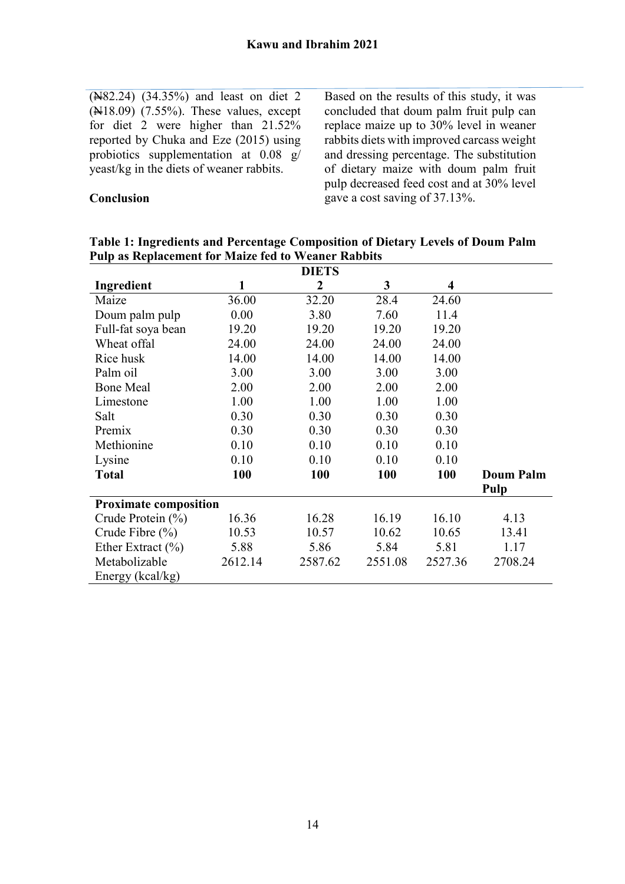(N82.24) (34.35%) and least on diet 2  $(\text{H18.09})$   $(7.55\%)$ . These values, except for diet 2 were higher than 21.52% reported by Chuka and Eze (2015) using probiotics supplementation at 0.08 g/ yeast/kg in the diets of weaner rabbits.

**Conclusion** 

Based on the results of this study, it was concluded that doum palm fruit pulp can replace maize up to 30% level in weaner rabbits diets with improved carcass weight and dressing percentage. The substitution of dietary maize with doum palm fruit pulp decreased feed cost and at 30% level gave a cost saving of 37.13%.

**Table 1: Ingredients and Percentage Composition of Dietary Levels of Doum Palm Pulp as Replacement for Maize fed to Weaner Rabbits**

| <b>DIETS</b>                 |         |                |         |                         |                  |  |  |  |
|------------------------------|---------|----------------|---------|-------------------------|------------------|--|--|--|
| Ingredient                   | 1       | $\overline{2}$ | 3       | $\overline{\mathbf{4}}$ |                  |  |  |  |
| Maize                        | 36.00   | 32.20          | 28.4    | 24.60                   |                  |  |  |  |
| Doum palm pulp               | 0.00    | 3.80           | 7.60    | 11.4                    |                  |  |  |  |
| Full-fat soya bean           | 19.20   | 19.20          | 19.20   | 19.20                   |                  |  |  |  |
| Wheat offal                  | 24.00   | 24.00          | 24.00   | 24.00                   |                  |  |  |  |
| Rice husk                    | 14.00   | 14.00          | 14.00   | 14.00                   |                  |  |  |  |
| Palm oil                     | 3.00    | 3.00           | 3.00    | 3.00                    |                  |  |  |  |
| <b>Bone Meal</b>             | 2.00    | 2.00           | 2.00    | 2.00                    |                  |  |  |  |
| Limestone                    | 1.00    | 1.00           | 1.00    | 1.00                    |                  |  |  |  |
| Salt                         | 0.30    | 0.30           | 0.30    | 0.30                    |                  |  |  |  |
| Premix                       | 0.30    | 0.30           | 0.30    | 0.30                    |                  |  |  |  |
| Methionine                   | 0.10    | 0.10           | 0.10    | 0.10                    |                  |  |  |  |
| Lysine                       | 0.10    | 0.10           | 0.10    | 0.10                    |                  |  |  |  |
| <b>Total</b>                 | 100     | 100            | 100     | <b>100</b>              | <b>Doum Palm</b> |  |  |  |
|                              |         |                |         |                         | Pulp             |  |  |  |
| <b>Proximate composition</b> |         |                |         |                         |                  |  |  |  |
| Crude Protein $(\% )$        | 16.36   | 16.28          | 16.19   | 16.10                   | 4.13             |  |  |  |
| Crude Fibre $(\% )$          | 10.53   | 10.57          | 10.62   | 10.65                   | 13.41            |  |  |  |
| Ether Extract $(\% )$        | 5.88    | 5.86           | 5.84    | 5.81                    | 1.17             |  |  |  |
| Metabolizable                | 2612.14 | 2587.62        | 2551.08 | 2527.36                 | 2708.24          |  |  |  |
| Energy (kcal/kg)             |         |                |         |                         |                  |  |  |  |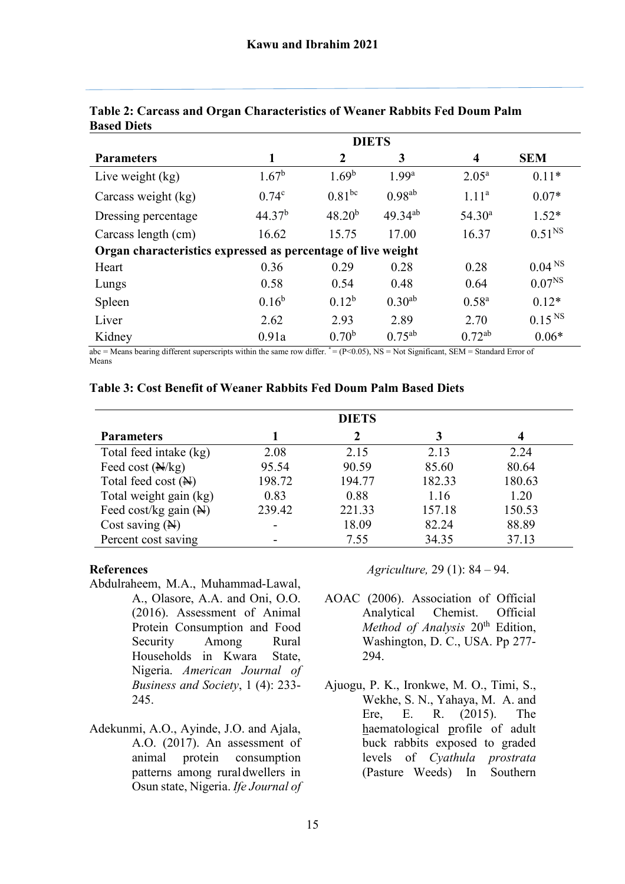|                                                              | <b>DIETS</b>       |                   |                   |                    |                    |  |  |
|--------------------------------------------------------------|--------------------|-------------------|-------------------|--------------------|--------------------|--|--|
| <b>Parameters</b>                                            | 1                  | $\overline{2}$    | 3                 | $\boldsymbol{4}$   | <b>SEM</b>         |  |  |
| Live weight (kg)                                             | $1.67^{\rm b}$     | 1.69 <sup>b</sup> | 1.99 <sup>a</sup> | $2.05^{\rm a}$     | $0.11*$            |  |  |
| Carcass weight (kg)                                          | 0.74 <sup>c</sup>  | $0.81^{bc}$       | $0.98^{ab}$       | 1.11 <sup>a</sup>  | $0.07*$            |  |  |
| Dressing percentage                                          | 44.37 <sup>b</sup> | $48.20^{b}$       | $49.34^{ab}$      | 54.30 <sup>a</sup> | $1.52*$            |  |  |
| Carcass length (cm)                                          | 16.62              | 15.75             | 17.00             | 16.37              | $0.51^{NS}$        |  |  |
| Organ characteristics expressed as percentage of live weight |                    |                   |                   |                    |                    |  |  |
| Heart                                                        | 0.36               | 0.29              | 0.28              | 0.28               | 0.04 <sup>NS</sup> |  |  |
| Lungs                                                        | 0.58               | 0.54              | 0.48              | 0.64               | $0.07^{NS}$        |  |  |
| Spleen                                                       | $0.16^{b}$         | $0.12^b$          | $0.30^{ab}$       | $0.58^{a}$         | $0.12*$            |  |  |
| Liver                                                        | 2.62               | 2.93              | 2.89              | 2.70               | 0.15 <sup>NS</sup> |  |  |
| Kidney                                                       | 0.91a              | 0.70 <sup>b</sup> | $0.75^{ab}$       | $0.72^{ab}$        | $0.06*$            |  |  |

### **Table 2: Carcass and Organ Characteristics of Weaner Rabbits Fed Doum Palm Based Diets**

 $\overline{abc}$  = Means bearing different superscripts within the same row differ. \*= (P<0.05), NS = Not Significant, SEM = Standard Error of Means

### **Table 3: Cost Benefit of Weaner Rabbits Fed Doum Palm Based Diets**

|                                  |        | <b>DIETS</b> |        |        |
|----------------------------------|--------|--------------|--------|--------|
| <b>Parameters</b>                |        | $\mathbf 2$  |        | 4      |
| Total feed intake (kg)           | 2.08   | 2.15         | 2.13   | 2.24   |
| Feed cost $(\frac{N}{kg})$       | 95.54  | 90.59        | 85.60  | 80.64  |
| Total feed cost $(\mathbb{H})$   | 198.72 | 194.77       | 182.33 | 180.63 |
| Total weight gain (kg)           | 0.83   | 0.88         | 1.16   | 1.20   |
| Feed cost/kg gain $(\mathbb{N})$ | 239.42 | 221.33       | 157.18 | 150.53 |
| Cost saving $(\mathbb{H})$       |        | 18.09        | 82.24  | 88.89  |
| Percent cost saving              |        | 7.55         | 34.35  | 37.13  |

### **References**

- Abdulraheem, M.A., Muhammad-Lawal, A., Olasore, A.A. and Oni, O.O. (2016). Assessment of Animal Protein Consumption and Food Security Among Rural Households in Kwara State, Nigeria. *American Journal of Business and Society*, 1 (4): 233- 245.
- Adekunmi, A.O., Ayinde, J.O. and Ajala, A.O. (2017). An assessment of animal protein consumption patterns among rural dwellers in Osun state, Nigeria. *Ife Journal of*

*Agriculture,* 29 (1): 84 – 94.

- AOAC (2006). Association of Official Analytical Chemist. Official *Method of Analysis* 20th Edition, Washington, D. C., USA. Pp 277- 294.
- Ajuogu, P. K., Ironkwe, M. O., Timi, S., Wekhe, S. N., Yahaya, M. A. and Ere, E. R. (2015). The haematological profile of adult buck rabbits exposed to graded levels of *Cyathula prostrata*  (Pasture Weeds) In Southern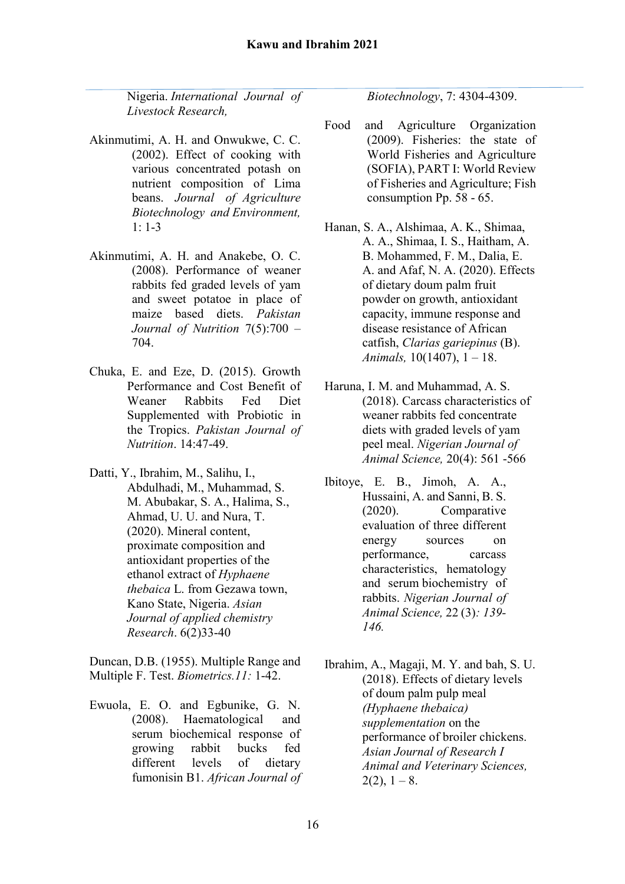Nigeria. *International Journal of Livestock Research,*

- Akinmutimi, A. H. and Onwukwe, C. C. (2002). Effect of cooking with various concentrated potash on nutrient composition of Lima beans. *Journal of Agriculture Biotechnology and Environment,*   $1: 1-3$
- Akinmutimi, A. H. and Anakebe, O. C. (2008). Performance of weaner rabbits fed graded levels of yam and sweet potatoe in place of maize based diets. *Pakistan Journal of Nutrition* 7(5):700 – 704.
- Chuka, E. and Eze, D. (2015). Growth Performance and Cost Benefit of Weaner Rabbits Fed Diet Supplemented with Probiotic in the Tropics. *Pakistan Journal of Nutrition*. 14:47-49.
- Datti, Y., Ibrahim, M., Salihu, I., Abdulhadi, M., Muhammad, S. M. Abubakar, S. A., Halima, S., Ahmad, U. U. and Nura, T. (2020). Mineral content, proximate composition and antioxidant properties of the ethanol extract of *Hyphaene thebaica* L. from Gezawa town, Kano State, Nigeria. *Asian Journal of applied chemistry Research*. 6(2)33-40

Duncan, D.B. (1955). Multiple Range and Multiple F. Test. *Biometrics.11:* 1-42.

Ewuola, E. O. and Egbunike, G. N. (2008). Haematological and serum biochemical response of growing rabbit bucks fed different levels of dietary fumonisin B1. *African Journal of*  *Biotechnology*, 7: 4304-4309.

- Food and Agriculture Organization (2009). Fisheries: the state of World Fisheries and Agriculture (SOFIA), PART I: World Review of Fisheries and Agriculture; Fish consumption Pp. 58 - 65.
- Hanan, S. A., Alshimaa, A. K., Shimaa, A. A., Shimaa, I. S., Haitham, A. B. Mohammed, F. M., Dalia, E. A. and Afaf, N. A. (2020). Effects of dietary doum palm fruit powder on growth, antioxidant capacity, immune response and disease resistance of African catfish, *Clarias gariepinus* (B). *Animals,* 10(1407), 1 – 18.
- Haruna, I. M. and Muhammad, A. S. (2018). Carcass characteristics of weaner rabbits fed concentrate diets with graded levels of yam peel meal. *Nigerian Journal of Animal Science,* 20(4): 561 -566
- Ibitoye, E. B., Jimoh, A. A., Hussaini, A. and Sanni, B. S. (2020). Comparative evaluation of three different energy sources on performance, carcass characteristics, hematology and serum biochemistry of rabbits. *Nigerian Journal of Animal Science,* 22 (3)*: 139- 146.*
- Ibrahim, A., Magaji, M. Y. and bah, S. U. (2018). Effects of dietary levels of doum palm pulp meal *(Hyphaene thebaica) supplementation* on the performance of broiler chickens. *Asian Journal of Research I Animal and Veterinary Sciences,*   $2(2)$ ,  $1 - 8$ .